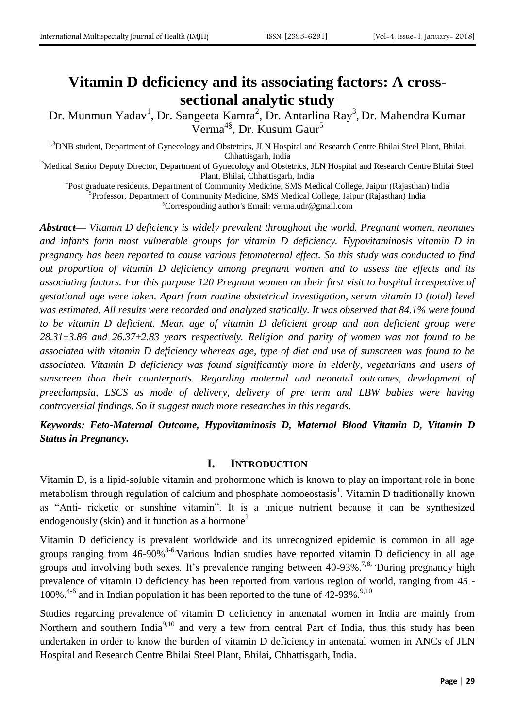# **Vitamin D deficiency and its associating factors: A crosssectional analytic study**

Dr. Munmun Yadav<sup>1</sup>, Dr. Sangeeta Kamra<sup>2</sup>, Dr. Antarlina Ray<sup>3</sup>, Dr. Mahendra Kumar Verma<sup>4§</sup>, Dr. Kusum Gaur<sup>5</sup>

<sup>1,3</sup>DNB student, Department of Gynecology and Obstetrics, JLN Hospital and Research Centre Bhilai Steel Plant, Bhilai, Chhattisgarh, India

<sup>2</sup>Medical Senior Deputy Director, Department of Gynecology and Obstetrics, JLN Hospital and Research Centre Bhilai Steel Plant, Bhilai, Chhattisgarh, India

<sup>4</sup>Post graduate residents, Department of Community Medicine, SMS Medical College, Jaipur (Rajasthan) India <sup>5</sup>Professor, Department of Community Medicine, SMS Medical College, Jaipur (Rajasthan) India §Corresponding author's Email: verma.udr@gmail.com

*Abstract— Vitamin D deficiency is widely prevalent throughout the world. Pregnant women, neonates and infants form most vulnerable groups for vitamin D deficiency. Hypovitaminosis vitamin D in pregnancy has been reported to cause various fetomaternal effect. So this study was conducted to find out proportion of vitamin D deficiency among pregnant women and to assess the effects and its associating factors. For this purpose 120 Pregnant women on their first visit to hospital irrespective of gestational age were taken. Apart from routine obstetrical investigation, serum vitamin D (total) level was estimated. All results were recorded and analyzed statically. It was observed that 84.1% were found to be vitamin D deficient. Mean age of vitamin D deficient group and non deficient group were 28.31±3.86 and 26.37±2.83 years respectively. Religion and parity of women was not found to be associated with vitamin D deficiency whereas age, type of diet and use of sunscreen was found to be associated. Vitamin D deficiency was found significantly more in elderly, vegetarians and users of sunscreen than their counterparts. Regarding maternal and neonatal outcomes, development of preeclampsia, LSCS as mode of delivery, delivery of pre term and LBW babies were having controversial findings. So it suggest much more researches in this regards.*

*Keywords: Feto-Maternal Outcome, Hypovitaminosis D, Maternal Blood Vitamin D, Vitamin D Status in Pregnancy.*

## **I. INTRODUCTION**

Vitamin D, is a lipid-soluble vitamin and prohormone which is known to play an important role in bone metabolism through regulation of calcium and phosphate homoeostasis<sup>1</sup>. Vitamin D traditionally known as "Anti- ricketic or sunshine vitamin". It is a unique nutrient because it can be synthesized endogenously (skin) and it function as a hormone<sup>2</sup>

Vitamin D deficiency is prevalent worldwide and its unrecognized epidemic is common in all age groups ranging from  $46-90\%$ <sup>3-6.</sup>Various Indian studies have reported vitamin D deficiency in all age groups and involving both sexes. It's prevalence ranging between 40-93%.<sup>7,8,</sup> During pregnancy high prevalence of vitamin D deficiency has been reported from various region of world, ranging from 45 - 100%. $4-6$  and in Indian population it has been reported to the tune of 42-93%. $9,10$ 

Studies regarding prevalence of vitamin D deficiency in antenatal women in India are mainly from Northern and southern India<sup>9,10</sup> and very a few from central Part of India, thus this study has been undertaken in order to know the burden of vitamin D deficiency in antenatal women in ANCs of JLN Hospital and Research Centre Bhilai Steel Plant, Bhilai, Chhattisgarh, India.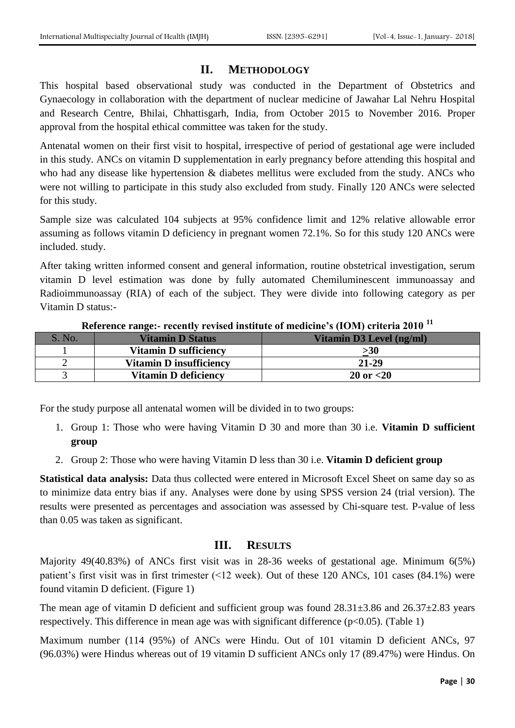## **II. METHODOLOGY**

This hospital based observational study was conducted in the Department of Obstetrics and Gynaecology in collaboration with the department of nuclear medicine of Jawahar Lal Nehru Hospital and Research Centre, Bhilai, Chhattisgarh, India, from October 2015 to November 2016. Proper approval from the hospital ethical committee was taken for the study.

Antenatal women on their first visit to hospital, irrespective of period of gestational age were included in this study. ANCs on vitamin D supplementation in early pregnancy before attending this hospital and who had any disease like hypertension & diabetes mellitus were excluded from the study. ANCs who were not willing to participate in this study also excluded from study. Finally 120 ANCs were selected for this study.

Sample size was calculated 104 subjects at 95% confidence limit and 12% relative allowable error assuming as follows vitamin D deficiency in pregnant women 72.1%. So for this study 120 ANCs were included. study.

After taking written informed consent and general information, routine obstetrical investigation, serum vitamin D level estimation was done by fully automated Chemiluminescent immunoassay and Radioimmunoassay (RIA) of each of the subject. They were divide into following category as per Vitamin D status:-

| No. | <b>Vitamin D Status</b>        | <b>Vitamin D3 Level (ng/ml)</b> |
|-----|--------------------------------|---------------------------------|
|     | <b>Vitamin D sufficiency</b>   | >30                             |
|     | <b>Vitamin D insufficiency</b> | $21 - 29$                       |
|     | <b>Vitamin D deficiency</b>    | $20 \text{ or } < 20$           |

**Reference range:- recently revised institute of medicine's (IOM) criteria 2010 <sup>11</sup>**

For the study purpose all antenatal women will be divided in to two groups:

- 1. Group 1: Those who were having Vitamin D 30 and more than 30 i.e. **Vitamin D sufficient group**
- 2. Group 2: Those who were having Vitamin D less than 30 i.e. **Vitamin D deficient group**

**Statistical data analysis:** Data thus collected were entered in Microsoft Excel Sheet on same day so as to minimize data entry bias if any. Analyses were done by using SPSS version 24 (trial version). The results were presented as percentages and association was assessed by Chi-square test. P-value of less than 0.05 was taken as significant.

### **III. RESULTS**

Majority 49(40.83%) of ANCs first visit was in 28-36 weeks of gestational age. Minimum 6(5%) patient's first visit was in first trimester (<12 week). Out of these 120 ANCs, 101 cases (84.1%) were found vitamin D deficient. (Figure 1)

The mean age of vitamin D deficient and sufficient group was found  $28.31\pm3.86$  and  $26.37\pm2.83$  years respectively. This difference in mean age was with significant difference  $(p<0.05)$ . (Table 1)

Maximum number (114 (95%) of ANCs were Hindu. Out of 101 vitamin D deficient ANCs, 97 (96.03%) were Hindus whereas out of 19 vitamin D sufficient ANCs only 17 (89.47%) were Hindus. On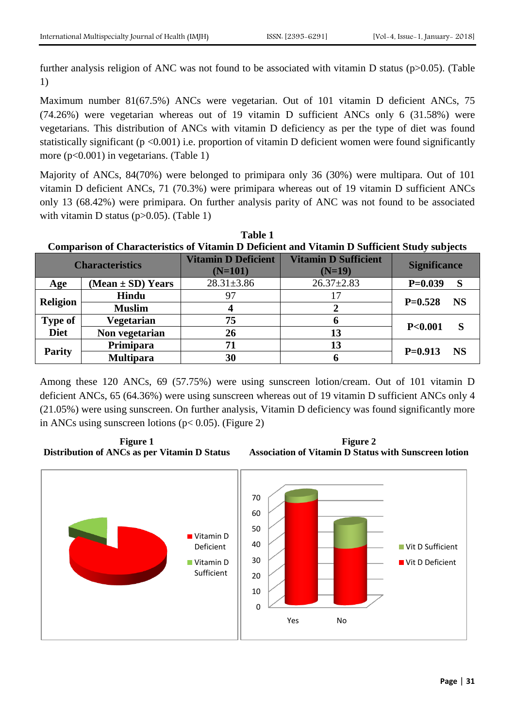further analysis religion of ANC was not found to be associated with vitamin D status (p>0.05). (Table 1)

Maximum number 81(67.5%) ANCs were vegetarian. Out of 101 vitamin D deficient ANCs, 75 (74.26%) were vegetarian whereas out of 19 vitamin D sufficient ANCs only 6 (31.58%) were vegetarians. This distribution of ANCs with vitamin D deficiency as per the type of diet was found statistically significant ( $p < 0.001$ ) i.e. proportion of vitamin D deficient women were found significantly more (p<0.001) in vegetarians. (Table 1)

Majority of ANCs, 84(70%) were belonged to primipara only 36 (30%) were multipara. Out of 101 vitamin D deficient ANCs, 71 (70.3%) were primipara whereas out of 19 vitamin D sufficient ANCs only 13 (68.42%) were primipara. On further analysis parity of ANC was not found to be associated with vitamin D status (p>0.05). (Table 1)

**Table 1 Comparison of Characteristics of Vitamin D Deficient and Vitamin D Sufficient Study subjects Characteristics Vitamin D Deficient (N=101) Vitamin D Sufficient (N=19) Significance Age (Mean ± SD) Years** 28.31±3.86 26.37±2.83 **P=0.039 S Religion Hindu** <sup>97</sup> <sup>17</sup> **P=0.528 NS Muslim <sup>4</sup> <sup>2</sup> Type of Diet Vegetarian 75 6 P<0.001 S Non vegetarian 26 13 Parity Primipara <sup>71</sup> <sup>13</sup> P=0.913 NS Multipara <sup>30</sup> <sup>6</sup>**

Among these 120 ANCs, 69 (57.75%) were using sunscreen lotion/cream. Out of 101 vitamin D deficient ANCs, 65 (64.36%) were using sunscreen whereas out of 19 vitamin D sufficient ANCs only 4 (21.05%) were using sunscreen. On further analysis, Vitamin D deficiency was found significantly more in ANCs using sunscreen lotions ( $p < 0.05$ ). (Figure 2)





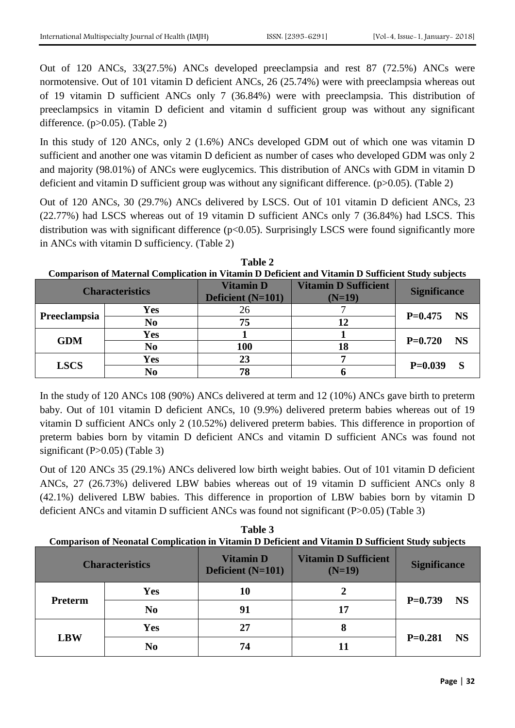Out of 120 ANCs, 33(27.5%) ANCs developed preeclampsia and rest 87 (72.5%) ANCs were normotensive. Out of 101 vitamin D deficient ANCs, 26 (25.74%) were with preeclampsia whereas out of 19 vitamin D sufficient ANCs only 7 (36.84%) were with preeclampsia. This distribution of preeclampsics in vitamin D deficient and vitamin d sufficient group was without any significant difference.  $(p>0.05)$ . (Table 2)

In this study of 120 ANCs, only 2 (1.6%) ANCs developed GDM out of which one was vitamin D sufficient and another one was vitamin D deficient as number of cases who developed GDM was only 2 and majority (98.01%) of ANCs were euglycemics. This distribution of ANCs with GDM in vitamin D deficient and vitamin D sufficient group was without any significant difference. (p>0.05). (Table 2)

Out of 120 ANCs, 30 (29.7%) ANCs delivered by LSCS. Out of 101 vitamin D deficient ANCs, 23 (22.77%) had LSCS whereas out of 19 vitamin D sufficient ANCs only 7 (36.84%) had LSCS. This distribution was with significant difference  $(p<0.05)$ . Surprisingly LSCS were found significantly more in ANCs with vitamin D sufficiency. (Table 2)

| <b>Comparison of Maternal Complication in Vitamin D Deficient and Vitamin D Sufficient Study subjects</b> |                |                                       |                                         |                        |  |  |
|-----------------------------------------------------------------------------------------------------------|----------------|---------------------------------------|-----------------------------------------|------------------------|--|--|
| <b>Characteristics</b>                                                                                    |                | <b>Vitamin D</b><br>Deficient (N=101) | <b>Vitamin D Sufficient</b><br>$(N=19)$ | <b>Significance</b>    |  |  |
| Preeclampsia                                                                                              | Yes            | 26                                    |                                         | <b>NS</b><br>$P=0.475$ |  |  |
|                                                                                                           | No             | 75                                    |                                         |                        |  |  |
| <b>GDM</b>                                                                                                | <b>Yes</b>     |                                       |                                         | <b>NS</b><br>$P=0.720$ |  |  |
|                                                                                                           | N <sub>0</sub> | <b>100</b>                            | 18                                      |                        |  |  |
| <b>LSCS</b>                                                                                               | <b>Yes</b>     | 23                                    |                                         | $P=0.039$              |  |  |
|                                                                                                           | No             | 78                                    |                                         |                        |  |  |

**Table 2**

In the study of 120 ANCs 108 (90%) ANCs delivered at term and 12 (10%) ANCs gave birth to preterm baby. Out of 101 vitamin D deficient ANCs, 10 (9.9%) delivered preterm babies whereas out of 19 vitamin D sufficient ANCs only 2 (10.52%) delivered preterm babies. This difference in proportion of preterm babies born by vitamin D deficient ANCs and vitamin D sufficient ANCs was found not significant  $(P>0.05)$  (Table 3)

Out of 120 ANCs 35 (29.1%) ANCs delivered low birth weight babies. Out of 101 vitamin D deficient ANCs, 27 (26.73%) delivered LBW babies whereas out of 19 vitamin D sufficient ANCs only 8 (42.1%) delivered LBW babies. This difference in proportion of LBW babies born by vitamin D deficient ANCs and vitamin D sufficient ANCs was found not significant (P>0.05) (Table 3)

**Table 3 Comparison of Neonatal Complication in Vitamin D Deficient and Vitamin D Sufficient Study subjects**

| <b>Characteristics</b> |                | <b>Vitamin D</b><br>Deficient (N=101) | <b>Vitamin D Sufficient</b><br>$(N=19)$ | <b>Significance</b>    |
|------------------------|----------------|---------------------------------------|-----------------------------------------|------------------------|
| Preterm                | <b>Yes</b>     | 10                                    | 2                                       | $P=0.739$<br><b>NS</b> |
|                        | N <sub>0</sub> | 91                                    | 17                                      |                        |
| <b>LBW</b>             | <b>Yes</b>     | 27                                    | 8                                       |                        |
|                        | N <sub>0</sub> | 74                                    | 11                                      | $P=0.281$<br><b>NS</b> |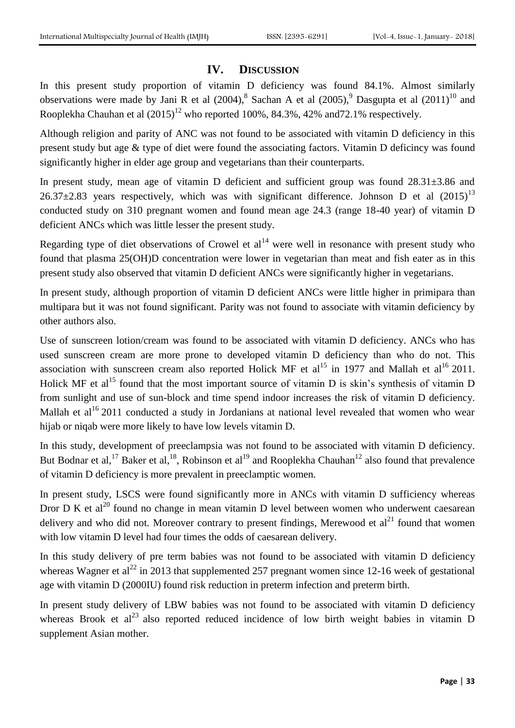## **IV. DISCUSSION**

In this present study proportion of vitamin D deficiency was found 84.1%. Almost similarly observations were made by Jani R et al  $(2004)$ ,  $8$  Sachan A et al  $(2005)$ ,  $9$  Dasgupta et al  $(2011)$ <sup>10</sup> and Rooplekha Chauhan et al  $(2015)^{12}$  who reported 100%, 84.3%, 42% and 72.1% respectively.

Although religion and parity of ANC was not found to be associated with vitamin D deficiency in this present study but age & type of diet were found the associating factors. Vitamin D deficincy was found significantly higher in elder age group and vegetarians than their counterparts.

In present study, mean age of vitamin D deficient and sufficient group was found 28.31±3.86 and 26.37 $\pm$ 2.83 years respectively, which was with significant difference. Johnson D et al (2015)<sup>13</sup> conducted study on 310 pregnant women and found mean age 24.3 (range 18-40 year) of vitamin D deficient ANCs which was little lesser the present study.

Regarding type of diet observations of Crowel et  $al<sup>14</sup>$  were well in resonance with present study who found that plasma 25(OH)D concentration were lower in vegetarian than meat and fish eater as in this present study also observed that vitamin D deficient ANCs were significantly higher in vegetarians.

In present study, although proportion of vitamin D deficient ANCs were little higher in primipara than multipara but it was not found significant. Parity was not found to associate with vitamin deficiency by other authors also.

Use of sunscreen lotion/cream was found to be associated with vitamin D deficiency. ANCs who has used sunscreen cream are more prone to developed vitamin D deficiency than who do not. This association with sunscreen cream also reported Holick MF et al<sup>15</sup> in 1977 and Mallah et al<sup>16</sup> 2011. Holick MF et al<sup>15</sup> found that the most important source of vitamin D is skin's synthesis of vitamin D from sunlight and use of sun-block and time spend indoor increases the risk of vitamin D deficiency. Mallah et al<sup>16</sup> 2011 conducted a study in Jordanians at national level revealed that women who wear hijab or niqab were more likely to have low levels vitamin D.

In this study, development of preeclampsia was not found to be associated with vitamin D deficiency. But Bodnar et al,<sup>17</sup> Baker et al,<sup>18</sup>, Robinson et al<sup>19</sup> and Rooplekha Chauhan<sup>12</sup> also found that prevalence of vitamin D deficiency is more prevalent in preeclamptic women.

In present study, LSCS were found significantly more in ANCs with vitamin D sufficiency whereas Dror D K et al<sup>20</sup> found no change in mean vitamin D level between women who underwent caesarean delivery and who did not. Moreover contrary to present findings, Merewood et  $al<sup>21</sup>$  found that women with low vitamin D level had four times the odds of caesarean delivery.

In this study delivery of pre term babies was not found to be associated with vitamin D deficiency whereas Wagner et al<sup>22</sup> in 2013 that supplemented 257 pregnant women since 12-16 week of gestational age with vitamin D (2000IU) found risk reduction in preterm infection and preterm birth.

In present study delivery of LBW babies was not found to be associated with vitamin D deficiency whereas Brook et al<sup>23</sup> also reported reduced incidence of low birth weight babies in vitamin D supplement Asian mother.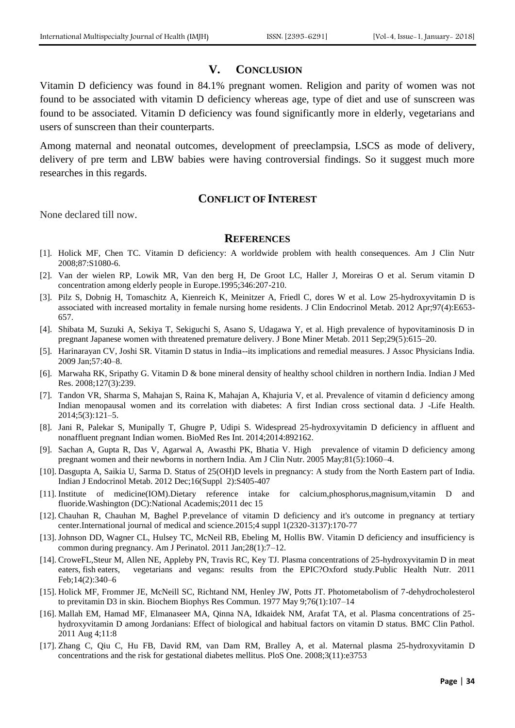## **V. CONCLUSION**

Vitamin D deficiency was found in 84.1% pregnant women. Religion and parity of women was not found to be associated with vitamin D deficiency whereas age, type of diet and use of sunscreen was found to be associated. Vitamin D deficiency was found significantly more in elderly, vegetarians and users of sunscreen than their counterparts.

Among maternal and neonatal outcomes, development of preeclampsia, LSCS as mode of delivery, delivery of pre term and LBW babies were having controversial findings. So it suggest much more researches in this regards.

## **CONFLICT OF INTEREST**

None declared till now.

#### **REFERENCES**

- [1]. Holick MF, Chen TC. Vitamin D deficiency: A worldwide problem with health consequences. Am J Clin Nutr 2008;87:S1080-6.
- [2]. Van der wielen RP, Lowik MR, Van den berg H, De Groot LC, Haller J, Moreiras O et al. Serum vitamin D concentration among elderly people in Europe.1995;346:207-210.
- [3]. Pilz S, Dobnig H, Tomaschitz A, Kienreich K, Meinitzer A, Friedl C, dores W et al. Low 25-hydroxyvitamin D is associated with increased mortality in female nursing home residents. J Clin Endocrinol Metab. 2012 Apr;97(4):E653- 657.
- [4]. Shibata M, Suzuki A, Sekiya T, Sekiguchi S, Asano S, Udagawa Y, et al. High prevalence of hypovitaminosis D in pregnant Japanese women with threatened premature delivery. J Bone Miner Metab. 2011 Sep;29(5):615–20.
- [5]. Harinarayan CV, Joshi SR. Vitamin D status in India--its implications and remedial measures. J Assoc Physicians India. 2009 Jan;57:40–8.
- [6]. Marwaha RK, Sripathy G. Vitamin D & bone mineral density of healthy school children in northern India. Indian J Med Res. 2008;127(3):239.
- [7]. Tandon VR, Sharma S, Mahajan S, Raina K, Mahajan A, Khajuria V, et al. Prevalence of vitamin d deficiency among Indian menopausal women and its correlation with diabetes: A first Indian cross sectional data. J -Life Health. 2014;5(3):121–5.
- [8]. Jani R, Palekar S, Munipally T, Ghugre P, Udipi S. Widespread 25-hydroxyvitamin D deficiency in affluent and nonaffluent pregnant Indian women. BioMed Res Int. 2014;2014:892162.
- [9]. Sachan A, Gupta R, Das V, Agarwal A, Awasthi PK, Bhatia V. High prevalence of vitamin D deficiency among pregnant women and their newborns in northern India. Am J Clin Nutr. 2005 May;81(5):1060–4.
- [10]. Dasgupta A, Saikia U, Sarma D. Status of 25(OH)D levels in pregnancy: A study from the North Eastern part of India. Indian J Endocrinol Metab. 2012 Dec;16(Suppl 2):S405-407
- [11]. Institute of medicine(IOM).Dietary reference intake for calcium,phosphorus,magnisum,vitamin D and fluoride.Washington (DC):National Academis;2011 dec 15
- [12]. Chauhan R, Chauhan M, Baghel P.prevelance of vitamin D deficiency and it's outcome in pregnancy at tertiary center.International journal of medical and science.2015;4 suppl 1(2320-3137):170-77
- [13]. Johnson DD, Wagner CL, Hulsey TC, McNeil RB, Ebeling M, Hollis BW. Vitamin D deficiency and insufficiency is common during pregnancy. Am J Perinatol. 2011 Jan;28(1):7–12.
- [14]. CroweFL,Steur M, Allen NE, Appleby PN, Travis RC, Key TJ. Plasma concentrations of 25-hydroxyvitamin D in meat eaters, fish eaters, vegetarians and vegans: results from the EPIC?Oxford study.Public Health Nutr. 2011 Feb;14(2):340–6
- [15]. Holick MF, Frommer JE, McNeill SC, Richtand NM, Henley JW, Potts JT. Photometabolism of 7-dehydrocholesterol to previtamin D3 in skin. Biochem Biophys Res Commun. 1977 May 9;76(1):107–14
- [16]. Mallah EM, Hamad MF, Elmanaseer MA, Qinna NA, Idkaidek NM, Arafat TA, et al. Plasma concentrations of 25 hydroxyvitamin D among Jordanians: Effect of biological and habitual factors on vitamin D status. BMC Clin Pathol. 2011 Aug 4;11:8
- [17]. Zhang C, Qiu C, Hu FB, David RM, van Dam RM, Bralley A, et al. Maternal plasma 25-hydroxyvitamin D concentrations and the risk for gestational diabetes mellitus. PloS One. 2008;3(11):e3753